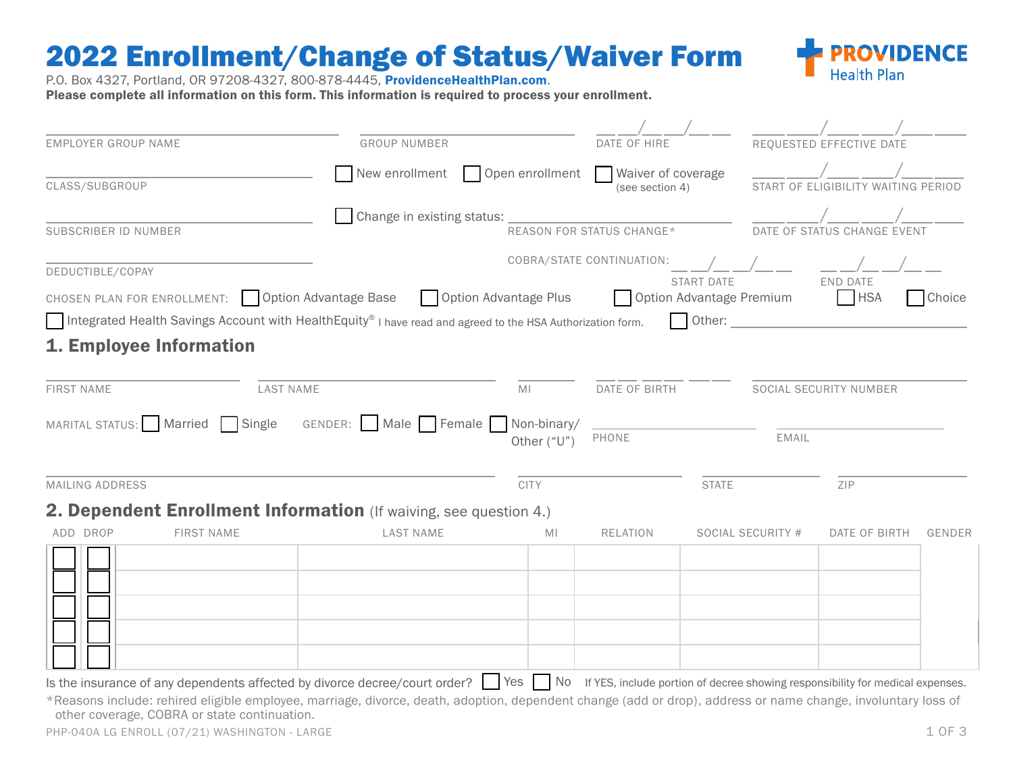## 2022 Enrollment/Change of Status/Waiver Form



P.O. Box 4327, Portland, OR 97208-4327, 800-878-4445, ProvidenceHealthPlan.com. Please complete all information on this form. This information is required to process your enrollment.

| <b>EMPLOYER GROUP NAME</b>                                                                                                                                                                                   | <b>GROUP NUMBER</b>             |                       | DATE OF HIRE                          |                                               |                                        | REQUESTED EFFECTIVE DATE    |        |
|--------------------------------------------------------------------------------------------------------------------------------------------------------------------------------------------------------------|---------------------------------|-----------------------|---------------------------------------|-----------------------------------------------|----------------------------------------|-----------------------------|--------|
| New enrollment<br>CLASS/SUBGROUP                                                                                                                                                                             |                                 | Open enrollment       | Waiver of coverage<br>(see section 4) |                                               | OF ELIGIBILITY WAITING PERIOD<br>START |                             |        |
| SUBSCRIBER ID NUMBER                                                                                                                                                                                         | Change in existing status:      |                       | REASON FOR STATUS CHANGE*             |                                               |                                        | DATE OF STATUS CHANGE EVENT |        |
| DEDUCTIBLE/COPAY                                                                                                                                                                                             |                                 |                       | COBRA/STATE CONTINUATION:             |                                               |                                        | <b>FND DATF</b>             |        |
| CHOSEN PLAN FOR ENROLLMENT: Option Advantage Base                                                                                                                                                            |                                 | Option Advantage Plus |                                       | <b>START DATE</b><br>Option Advantage Premium |                                        | <b>HSA</b>                  | Choice |
| Integrated Health Savings Account with HealthEquity® I have read and agreed to the HSA Authorization form.                                                                                                   |                                 |                       |                                       |                                               | Other:                                 |                             |        |
| 1. Employee Information                                                                                                                                                                                      |                                 |                       |                                       |                                               |                                        |                             |        |
| <b>FIRST NAME</b><br><b>LAST NAME</b>                                                                                                                                                                        |                                 | MI                    | DATE OF BIRTH                         |                                               | SOCIAL SECURITY NUMBER                 |                             |        |
| MARITAL STATUS: Married<br>Single                                                                                                                                                                            | GENDER: Male Female Non-binary/ | Other ("U")           | PHONE                                 |                                               | EMAIL                                  |                             |        |
| MAILING ADDRESS                                                                                                                                                                                              |                                 | <b>CITY</b>           |                                       | <b>STATE</b>                                  |                                        | ZIP                         |        |
| 2. Dependent Enrollment Information (If waiving, see question 4.)                                                                                                                                            |                                 |                       |                                       |                                               |                                        |                             |        |
| ADD DROP<br><b>FIRST NAME</b>                                                                                                                                                                                | <b>LAST NAME</b>                | МI                    | <b>RELATION</b>                       |                                               | SOCIAL SECURITY #                      | DATE OF BIRTH               | GENDER |
|                                                                                                                                                                                                              |                                 |                       |                                       |                                               |                                        |                             |        |
| Is the insurance of any dependents affected by divorce decree/court order? See Preset No Fires, include portion of decree showing responsibility for medical expenses.                                       |                                 |                       |                                       |                                               |                                        |                             |        |
| *Reasons include: rehired eligible employee, marriage, divorce, death, adoption, dependent change (add or drop), address or name change, involuntary loss of<br>other coverage, COBRA or state continuation. |                                 |                       |                                       |                                               |                                        |                             |        |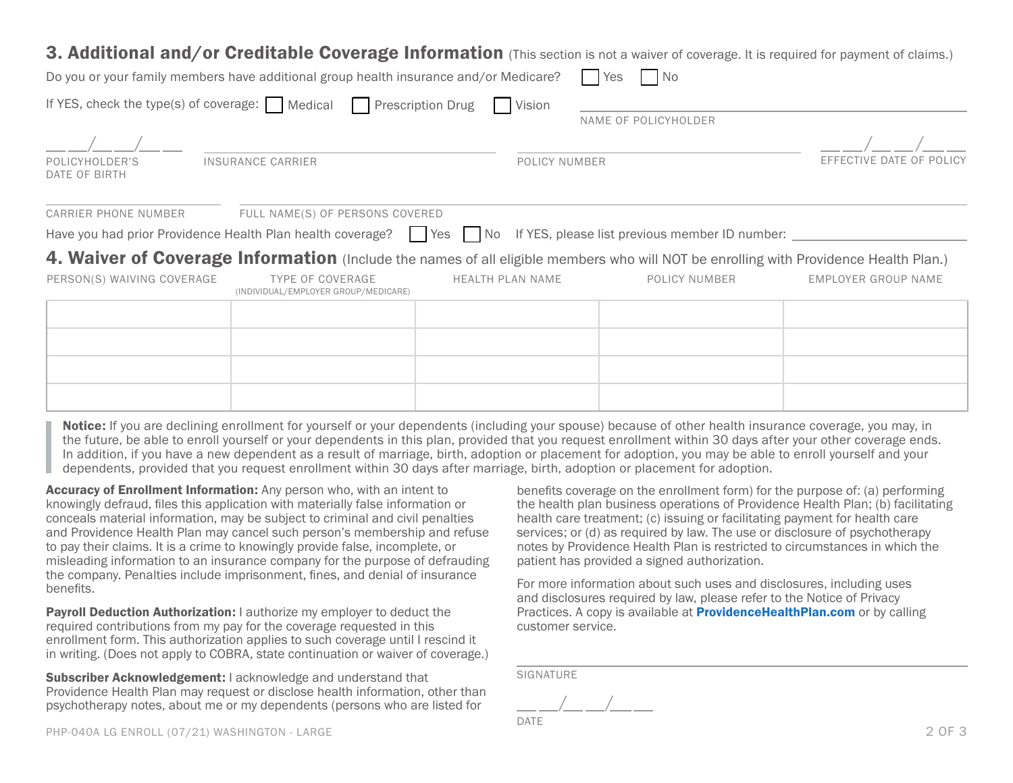## 3. Additional and/or Creditable Coverage Information (This section is not a waiver of coverage. It is required for payment of claims.)

|                                 | Do you or your family members have additional group health insurance and/or Medicare?                                                |                         | N <sub>o</sub><br>Yes |                          |
|---------------------------------|--------------------------------------------------------------------------------------------------------------------------------------|-------------------------|-----------------------|--------------------------|
|                                 | If YES, check the type(s) of coverage: $\Box$ Medical $\Box$ Prescription Drug                                                       | Vision                  | NAME OF POLICYHOLDER  |                          |
|                                 |                                                                                                                                      |                         |                       |                          |
| POLICYHOLDER'S<br>DATE OF BIRTH | <b>INSURANCE CARRIER</b>                                                                                                             | POLICY NUMBER           |                       | EFFECTIVE DATE OF POLICY |
| <b>CARRIER PHONE NUMBER</b>     | FULL NAME(S) OF PERSONS COVERED                                                                                                      |                         |                       |                          |
|                                 | Have you had prior Providence Health Plan health coverage?     Yes     No If YES, please list previous member ID number:             |                         |                       |                          |
|                                 | 4. Waiver of Coverage Information (Include the names of all eligible members who will NOT be enrolling with Providence Health Plan.) |                         |                       |                          |
| PERSON(S) WAIVING COVERAGE      | <b>TYPE OF COVERAGE</b><br>(INDIVIDUAL/EMPLOYER GROUP/MEDICARE)                                                                      | <b>HEALTH PLAN NAME</b> | POLICY NUMBER         | EMPLOYER GROUP NAME      |
|                                 |                                                                                                                                      |                         |                       |                          |
|                                 |                                                                                                                                      |                         |                       |                          |
|                                 |                                                                                                                                      |                         |                       |                          |
|                                 |                                                                                                                                      |                         |                       |                          |
|                                 |                                                                                                                                      |                         |                       |                          |

Notice: If you are declining enrollment for yourself or your dependents (including your spouse) because of other health insurance coverage, you may, in the future, be able to enroll yourself or your dependents in this plan, provided that you request enrollment within 30 days after your other coverage ends. In addition, if you have a new dependent as a result of marriage, birth, adoption or placement for adoption, you may be able to enroll yourself and your dependents, provided that you request enrollment within 30 days after marriage, birth, adoption or placement for adoption.

Accuracy of Enrollment Information: Any person who, with an intent to knowingly defraud, files this application with materially false information or conceals material information, may be subject to criminal and civil penalties and Providence Health Plan may cancel such person's membership and refuse to pay their claims. It is a crime to knowingly provide false, incomplete, or misleading information to an insurance company for the purpose of defrauding the company. Penalties include imprisonment, fines, and denial of insurance benefits.

**Payroll Deduction Authorization:** I authorize my employer to deduct the required contributions from my pay for the coverage requested in this enrollment form. This authorization applies to such coverage until I rescind it in writing. (Does not apply to COBRA, state continuation or waiver of coverage.)

Subscriber Acknowledgement: I acknowledge and understand that Providence Health Plan may request or disclose health information, other than psychotherapy notes, about me or my dependents (persons who are listed for

benefits coverage on the enrollment form) for the purpose of: (a) performing the health plan business operations of Providence Health Plan; (b) facilitating health care treatment; (c) issuing or facilitating payment for health care services; or (d) as required by law. The use or disclosure of psychotherapy notes by Providence Health Plan is restricted to circumstances in which the patient has provided a signed authorization.

For more information about such uses and disclosures, including uses and disclosures required by law, please refer to the Notice of Privacy Practices. A copy is available at **ProvidenceHealthPlan.com** or by calling customer service.

SIGNATURE

 $/$   $/$ 

DATE